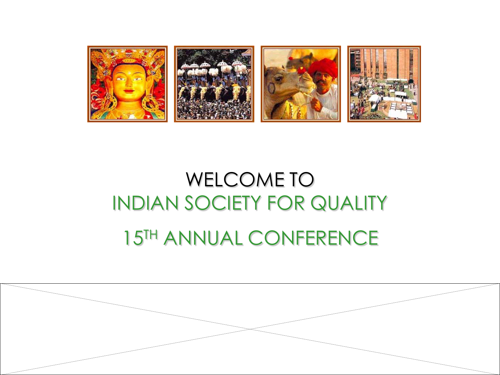

## WELCOME TO INDIAN SOCIETY FOR QUALITY

## 15TH ANNUAL CONFERENCE

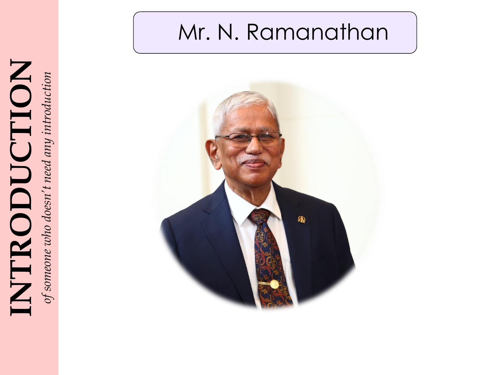

# INTRODUCTION INTRODUCTION *of someone who doesn't need any introduction*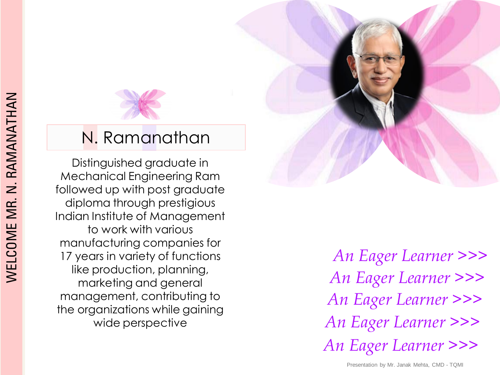

#### N. Ramanathan

Distinguished graduate in Mechanical Engineering Ram followed up with post graduate diploma through prestigious Indian Institute of Management to work with various manufacturing companies for 17 years in variety of functions like production, planning, marketing and general management, contributing to the organizations while gaining wide perspective

*An Eager Learner >>> An Eager Learner >>> An Eager Learner >>> An Eager Learner >>> An Eager Learner >>>*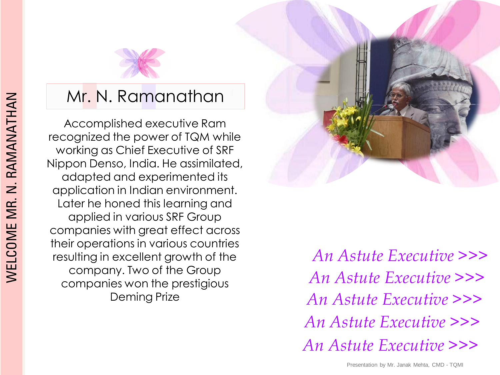

Accomplished executive Ram recognized the power of TQM while working as Chief Executive of SRF Nippon Denso, India. He assimilated, adapted and experimented its application in Indian environment. Later he honed this learning and applied in various SRF Group companies with great effect across their operations in various countries resulting in excellent growth of the company. Two of the Group companies won the prestigious Deming Prize



*An Astute Executive >>> An Astute Executive >>> An Astute Executive >>> An Astute Executive >>> An Astute Executive >>>*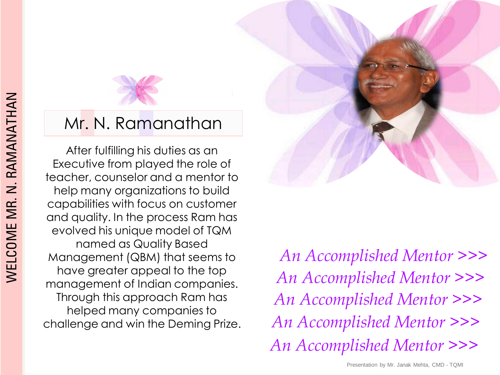

After fulfilling his duties as an Executive from played the role of teacher, counselor and a mentor to help many organizations to build capabilities with focus on customer and quality. In the process Ram has evolved his unique model of TQM named as Quality Based Management (QBM) that seems to have greater appeal to the top management of Indian companies. Through this approach Ram has helped many companies to challenge and win the Deming Prize.

*An Accomplished Mentor >>> An Accomplished Mentor >>> An Accomplished Mentor >>> An Accomplished Mentor >>> An Accomplished Mentor >>>*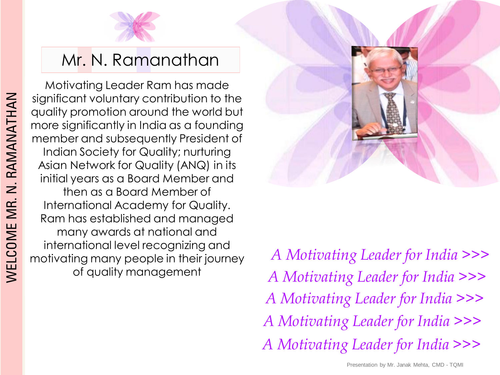

Motivating Leader Ram has made significant voluntary contribution to the quality promotion around the world but more significantly in India as a founding member and subsequently President of Indian Society for Quality; nurturing Asian Network for Quality (ANQ) in its initial years as a Board Member and then as a Board Member of International Academy for Quality. Ram has established and managed many awards at national and international level recognizing and motivating many people in their journey of quality management



*A Motivating Leader for India >>> A Motivating Leader for India >>> A Motivating Leader for India >>> A Motivating Leader for India >>> A Motivating Leader for India >>>*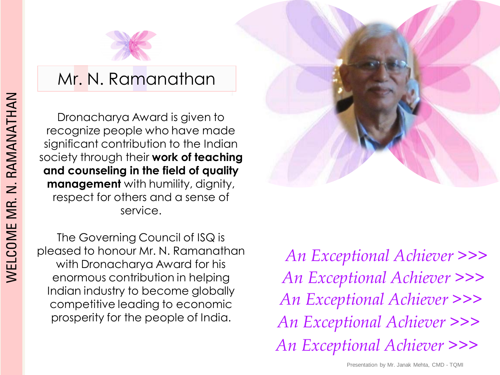

Dronacharya Award is given to recognize people who have made significant contribution to the Indian society through their **work of teaching and counseling in the field of quality management** with humility, dignity, respect for others and a sense of service.

The Governing Council of ISQ is pleased to honour Mr. N. Ramanathan with Dronacharya Award for his enormous contribution in helping Indian industry to become globally competitive leading to economic prosperity for the people of India.

*An Exceptional Achiever >>> An Exceptional Achiever >>> An Exceptional Achiever >>> An Exceptional Achiever >>> An Exceptional Achiever >>>*